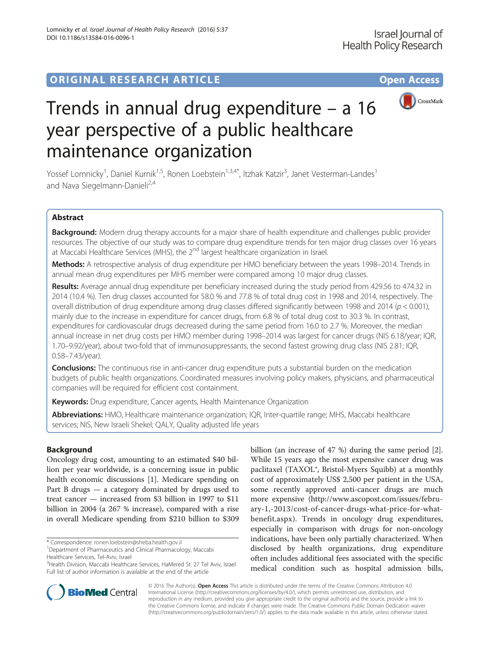# ORIGINAL RESEARCH ARTICLE **External and Contract Contract Contract Contract Contract Contract Contract Contract Contract Contract Contract Contract Contract Contract Contract Contract Contract Contract Contract Contract Co**



# Trends in annual drug expenditure – a 16 year perspective of a public healthcare maintenance organization

Yossef Lomnicky<sup>1</sup>, Daniel Kurnik<sup>1,5</sup>, Ronen Loebstein<sup>1,3,4\*</sup>, Itzhak Katzir<sup>3</sup>, Janet Vesterman-Landes<sup>1</sup> and Nava Siegelmann-Danieli<sup>2,4</sup>

# Abstract

Background: Modern drug therapy accounts for a major share of health expenditure and challenges public provider resources. The objective of our study was to compare drug expenditure trends for ten major drug classes over 16 years at Maccabi Healthcare Services (MHS), the 2<sup>nd</sup> largest healthcare organization in Israel.

Methods: A retrospective analysis of drug expenditure per HMO beneficiary between the years 1998–2014. Trends in annual mean drug expenditures per MHS member were compared among 10 major drug classes.

Results: Average annual drug expenditure per beneficiary increased during the study period from 429.56 to 474.32 in 2014 (10.4 %). Ten drug classes accounted for 58.0 % and 77.8 % of total drug cost in 1998 and 2014, respectively. The overall distribution of drug expenditure among drug classes differed significantly between 1998 and 2014 ( $p < 0.001$ ), mainly due to the increase in expenditure for cancer drugs, from 6.8 % of total drug cost to 30.3 %. In contrast, expenditures for cardiovascular drugs decreased during the same period from 16.0 to 2.7 %. Moreover, the median annual increase in net drug costs per HMO member during 1998–2014 was largest for cancer drugs (NIS 6.18/year; IQR, 1.70–9.92/year), about two-fold that of immunosuppressants, the second fastest growing drug class (NIS 2.81; IQR, 0.58–7.43/year).

**Conclusions:** The continuous rise in anti-cancer drug expenditure puts a substantial burden on the medication budgets of public health organizations. Coordinated measures involving policy makers, physicians, and pharmaceutical companies will be required for efficient cost containment.

Keywords: Drug expenditure, Cancer agents, Health Maintenance Organization

Abbreviations: HMO, Healthcare maintenance organization; IQR, Inter-quartile range; MHS, Maccabi healthcare services; NIS, New Israeli Shekel; QALY, Quality adjusted life years

# Background

Oncology drug cost, amounting to an estimated \$40 billion per year worldwide, is a concerning issue in public health economic discussions [[1\]](#page-5-0). Medicare spending on Part B drugs — a category dominated by drugs used to treat cancer — increased from \$3 billion in 1997 to \$11 billion in 2004 (a 267 % increase), compared with a rise in overall Medicare spending from \$210 billion to \$309

billion (an increase of 47 %) during the same period [\[2](#page-5-0)]. While 15 years ago the most expensive cancer drug was paclitaxel (TAXOL®, Bristol-Myers Squibb) at a monthly cost of approximately US\$ 2,500 per patient in the USA, some recently approved anti-cancer drugs are much more expensive ([http://www.ascopost.com/issues/febru](http://www.ascopost.com/issues/february-1,-2013/cost-of-cancer-drugs-what-price-for-what-benefit.aspx)[ary-1,-2013/cost-of-cancer-drugs-what-price-for-what](http://www.ascopost.com/issues/february-1,-2013/cost-of-cancer-drugs-what-price-for-what-benefit.aspx)[benefit.aspx\)](http://www.ascopost.com/issues/february-1,-2013/cost-of-cancer-drugs-what-price-for-what-benefit.aspx). Trends in oncology drug expenditures, especially in comparison with drugs for non-oncology indications, have been only partially characterized. When disclosed by health organizations, drug expenditure often includes additional fees associated with the specific medical condition such as hospital admission bills,



© 2016 The Author(s). Open Access This article is distributed under the terms of the Creative Commons Attribution 4.0 International License [\(http://creativecommons.org/licenses/by/4.0/](http://creativecommons.org/licenses/by/4.0/)), which permits unrestricted use, distribution, and reproduction in any medium, provided you give appropriate credit to the original author(s) and the source, provide a link to the Creative Commons license, and indicate if changes were made. The Creative Commons Public Domain Dedication waiver [\(http://creativecommons.org/publicdomain/zero/1.0/](http://creativecommons.org/publicdomain/zero/1.0/)) applies to the data made available in this article, unless otherwise stated.

<sup>\*</sup> Correspondence: [ronen.loebstein@sheba.health.gov.il](mailto:ronen.loebstein@sheba.health.gov.il) <sup>1</sup>

<sup>&</sup>lt;sup>1</sup>Department of Pharmaceutics and Clinical Pharmacology, Maccabi Healthcare Services, Tel-Aviv, Israel

<sup>&</sup>lt;sup>3</sup> Health Division, Maccabi Healthcare Services, HaMered St. 27 Tel Aviv, Israel Full list of author information is available at the end of the article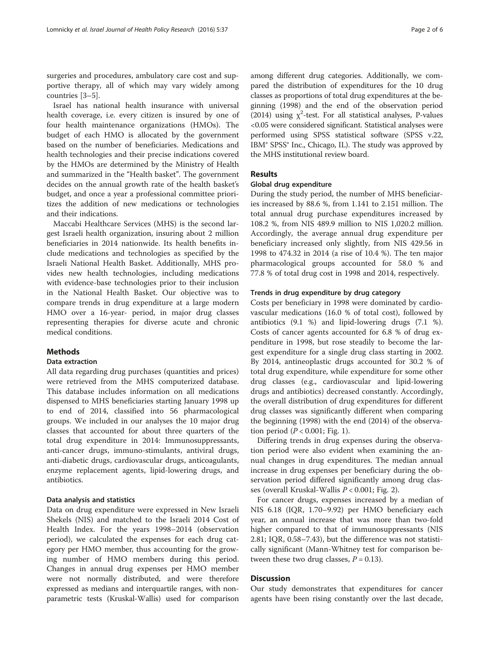surgeries and procedures, ambulatory care cost and supportive therapy, all of which may vary widely among countries [[3](#page-5-0)–[5](#page-5-0)].

Israel has national health insurance with universal health coverage, i.e. every citizen is insured by one of four health maintenance organizations (HMOs). The budget of each HMO is allocated by the government based on the number of beneficiaries. Medications and health technologies and their precise indications covered by the HMOs are determined by the Ministry of Health and summarized in the "Health basket". The government decides on the annual growth rate of the health basket's budget, and once a year a professional committee prioritizes the addition of new medications or technologies and their indications.

Maccabi Healthcare Services (MHS) is the second largest Israeli health organization, insuring about 2 million beneficiaries in 2014 nationwide. Its health benefits include medications and technologies as specified by the Israeli National Health Basket. Additionally, MHS provides new health technologies, including medications with evidence-base technologies prior to their inclusion in the National Health Basket. Our objective was to compare trends in drug expenditure at a large modern HMO over a 16-year- period, in major drug classes representing therapies for diverse acute and chronic medical conditions.

## **Methods**

#### Data extraction

All data regarding drug purchases (quantities and prices) were retrieved from the MHS computerized database. This database includes information on all medications dispensed to MHS beneficiaries starting January 1998 up to end of 2014, classified into 56 pharmacological groups. We included in our analyses the 10 major drug classes that accounted for about three quarters of the total drug expenditure in 2014: Immunosuppressants, anti-cancer drugs, immuno-stimulants, antiviral drugs, anti-diabetic drugs, cardiovascular drugs, anticoagulants, enzyme replacement agents, lipid-lowering drugs, and antibiotics.

#### Data analysis and statistics

Data on drug expenditure were expressed in New Israeli Shekels (NIS) and matched to the Israeli 2014 Cost of Health Index. For the years 1998–2014 (observation period), we calculated the expenses for each drug category per HMO member, thus accounting for the growing number of HMO members during this period. Changes in annual drug expenses per HMO member were not normally distributed, and were therefore expressed as medians and interquartile ranges, with nonparametric tests (Kruskal-Wallis) used for comparison among different drug categories. Additionally, we compared the distribution of expenditures for the 10 drug classes as proportions of total drug expenditures at the beginning (1998) and the end of the observation period (2014) using  $\chi^2$ -test. For all statistical analyses, P-values <0.05 were considered significant. Statistical analyses were performed using SPSS statistical software (SPSS v.22, IBM® SPSS® Inc., Chicago, IL). The study was approved by the MHS institutional review board.

## Results

# Global drug expenditure

During the study period, the number of MHS beneficiaries increased by 88.6 %, from 1.141 to 2.151 million. The total annual drug purchase expenditures increased by 108.2 %, from NIS 489.9 million to NIS 1,020.2 million. Accordingly, the average annual drug expenditure per beneficiary increased only slightly, from NIS 429.56 in 1998 to 474.32 in 2014 (a rise of 10.4 %). The ten major pharmacological groups accounted for 58.0 % and 77.8 % of total drug cost in 1998 and 2014, respectively.

#### Trends in drug expenditure by drug category

Costs per beneficiary in 1998 were dominated by cardiovascular medications (16.0 % of total cost), followed by antibiotics (9.1 %) and lipid-lowering drugs (7.1 %). Costs of cancer agents accounted for 6.8 % of drug expenditure in 1998, but rose steadily to become the largest expenditure for a single drug class starting in 2002. By 2014, antineoplastic drugs accounted for 30.2 % of total drug expenditure, while expenditure for some other drug classes (e.g., cardiovascular and lipid-lowering drugs and antibiotics) decreased constantly. Accordingly, the overall distribution of drug expenditures for different drug classes was significantly different when comparing the beginning (1998) with the end (2014) of the observation period  $(P < 0.001$ ; Fig. [1](#page-2-0)).

Differing trends in drug expenses during the observation period were also evident when examining the annual changes in drug expenditures. The median annual increase in drug expenses per beneficiary during the observation period differed significantly among drug classes (overall Kruskal-Wallis P < 0.001; Fig. [2](#page-2-0)).

For cancer drugs, expenses increased by a median of NIS 6.18 (IQR, 1.70–9.92) per HMO beneficiary each year, an annual increase that was more than two-fold higher compared to that of immunosuppressants (NIS 2.81; IQR, 0.58–7.43), but the difference was not statistically significant (Mann-Whitney test for comparison between these two drug classes,  $P = 0.13$ ).

# **Discussion**

Our study demonstrates that expenditures for cancer agents have been rising constantly over the last decade,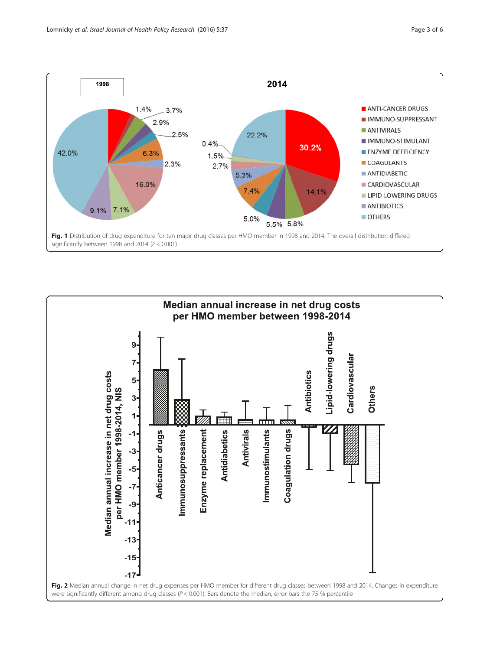<span id="page-2-0"></span>

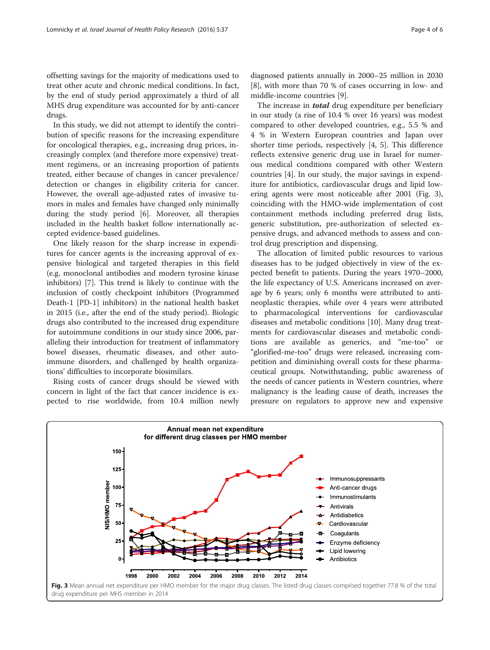offsetting savings for the majority of medications used to treat other acute and chronic medical conditions. In fact, by the end of study period approximately a third of all MHS drug expenditure was accounted for by anti-cancer drugs.

In this study, we did not attempt to identify the contribution of specific reasons for the increasing expenditure for oncological therapies, e.g., increasing drug prices, increasingly complex (and therefore more expensive) treatment regimens, or an increasing proportion of patients treated, either because of changes in cancer prevalence/ detection or changes in eligibility criteria for cancer. However, the overall age-adjusted rates of invasive tumors in males and females have changed only minimally during the study period [\[6](#page-5-0)]. Moreover, all therapies included in the health basket follow internationally accepted evidence-based guidelines.

One likely reason for the sharp increase in expenditures for cancer agents is the increasing approval of expensive biological and targeted therapies in this field (e.g. monoclonal antibodies and modern tyrosine kinase inhibitors) [\[7](#page-5-0)]. This trend is likely to continue with the inclusion of costly checkpoint inhibitors (Programmed Death-1 [PD-1] inhibitors) in the national health basket in 2015 (i.e., after the end of the study period). Biologic drugs also contributed to the increased drug expenditure for autoimmune conditions in our study since 2006, paralleling their introduction for treatment of inflammatory bowel diseases, rheumatic diseases, and other autoimmune disorders, and challenged by health organizations' difficulties to incorporate biosimilars.

Rising costs of cancer drugs should be viewed with concern in light of the fact that cancer incidence is expected to rise worldwide, from 10.4 million newly diagnosed patients annually in 2000–25 million in 2030 [[8\]](#page-5-0), with more than 70 % of cases occurring in low- and middle-income countries [\[9](#page-5-0)].

The increase in **total** drug expenditure per beneficiary in our study (a rise of 10.4 % over 16 years) was modest compared to other developed countries, e.g., 5.5 % and 4 % in Western European countries and Japan over shorter time periods, respectively [\[4, 5\]](#page-5-0). This difference reflects extensive generic drug use in Israel for numerous medical conditions compared with other Western countries [[4\]](#page-5-0). In our study, the major savings in expenditure for antibiotics, cardiovascular drugs and lipid lowering agents were most noticeable after 2001 (Fig. 3), coinciding with the HMO-wide implementation of cost containment methods including preferred drug lists, generic substitution, pre-authorization of selected expensive drugs, and advanced methods to assess and control drug prescription and dispensing.

The allocation of limited public resources to various diseases has to be judged objectively in view of the expected benefit to patients. During the years 1970–2000, the life expectancy of U.S. Americans increased on average by 6 years; only 6 months were attributed to antineoplastic therapies, while over 4 years were attributed to pharmacological interventions for cardiovascular diseases and metabolic conditions [[10\]](#page-5-0). Many drug treatments for cardiovascular diseases and metabolic conditions are available as generics, and "me-too" or "glorified-me-too" drugs were released, increasing competition and diminishing overall costs for these pharmaceutical groups. Notwithstanding, public awareness of the needs of cancer patients in Western countries, where malignancy is the leading cause of death, increases the pressure on regulators to approve new and expensive

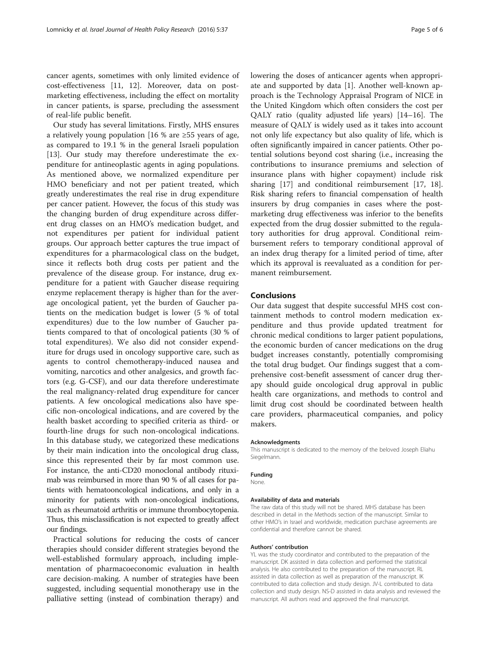cancer agents, sometimes with only limited evidence of cost-effectiveness [[11, 12\]](#page-5-0). Moreover, data on postmarketing effectiveness, including the effect on mortality in cancer patients, is sparse, precluding the assessment of real-life public benefit.

Our study has several limitations. Firstly, MHS ensures a relatively young population [16 % are  $\geq$ 55 years of age, as compared to 19.1 % in the general Israeli population [[13\]](#page-5-0). Our study may therefore underestimate the expenditure for antineoplastic agents in aging populations. As mentioned above, we normalized expenditure per HMO beneficiary and not per patient treated, which greatly underestimates the real rise in drug expenditure per cancer patient. However, the focus of this study was the changing burden of drug expenditure across different drug classes on an HMO's medication budget, and not expenditures per patient for individual patient groups. Our approach better captures the true impact of expenditures for a pharmacological class on the budget, since it reflects both drug costs per patient and the prevalence of the disease group. For instance, drug expenditure for a patient with Gaucher disease requiring enzyme replacement therapy is higher than for the average oncological patient, yet the burden of Gaucher patients on the medication budget is lower (5 % of total expenditures) due to the low number of Gaucher patients compared to that of oncological patients (30 % of total expenditures). We also did not consider expenditure for drugs used in oncology supportive care, such as agents to control chemotherapy-induced nausea and vomiting, narcotics and other analgesics, and growth factors (e.g. G-CSF), and our data therefore underestimate the real malignancy-related drug expenditure for cancer patients. A few oncological medications also have specific non-oncological indications, and are covered by the health basket according to specified criteria as third- or fourth-line drugs for such non-oncological indications. In this database study, we categorized these medications by their main indication into the oncological drug class, since this represented their by far most common use. For instance, the anti-CD20 monoclonal antibody rituximab was reimbursed in more than 90 % of all cases for patients with hematooncological indications, and only in a minority for patients with non-oncological indications, such as rheumatoid arthritis or immune thrombocytopenia. Thus, this misclassification is not expected to greatly affect our findings.

Practical solutions for reducing the costs of cancer therapies should consider different strategies beyond the well-established formulary approach, including implementation of pharmacoeconomic evaluation in health care decision-making. A number of strategies have been suggested, including sequential monotherapy use in the palliative setting (instead of combination therapy) and lowering the doses of anticancer agents when appropriate and supported by data [[1\]](#page-5-0). Another well-known approach is the Technology Appraisal Program of NICE in the United Kingdom which often considers the cost per QALY ratio (quality adjusted life years) [\[14](#page-5-0)–[16\]](#page-5-0). The measure of QALY is widely used as it takes into account not only life expectancy but also quality of life, which is often significantly impaired in cancer patients. Other potential solutions beyond cost sharing (i.e., increasing the contributions to insurance premiums and selection of insurance plans with higher copayment) include risk sharing [[17](#page-5-0)] and conditional reimbursement [[17, 18](#page-5-0)]. Risk sharing refers to financial compensation of health insurers by drug companies in cases where the postmarketing drug effectiveness was inferior to the benefits expected from the drug dossier submitted to the regulatory authorities for drug approval. Conditional reimbursement refers to temporary conditional approval of an index drug therapy for a limited period of time, after which its approval is reevaluated as a condition for permanent reimbursement.

## Conclusions

Our data suggest that despite successful MHS cost containment methods to control modern medication expenditure and thus provide updated treatment for chronic medical conditions to larger patient populations, the economic burden of cancer medications on the drug budget increases constantly, potentially compromising the total drug budget. Our findings suggest that a comprehensive cost-benefit assessment of cancer drug therapy should guide oncological drug approval in public health care organizations, and methods to control and limit drug cost should be coordinated between health care providers, pharmaceutical companies, and policy makers.

#### Acknowledgments

This manuscript is dedicated to the memory of the beloved Joseph Eliahu Siegelmann.

#### Funding

None.

#### Availability of data and materials

The raw data of this study will not be shared. MHS database has been described in detail in the Methods section of the manuscript. Similar to other HMO's in Israel and worldwide, medication purchase agreements are confidential and therefore cannot be shared.

#### Authors' contribution

YL was the study coordinator and contributed to the preparation of the manuscript. DK assisted in data collection and performed the statistical analysis. He also contributed to the preparation of the manuscript. RL assisted in data collection as well as preparation of the manuscript. IK contributed to data collection and study design. JV-L contributed to data collection and study design. NS-D assisted in data analysis and reviewed the manuscript. All authors read and approved the final manuscript.